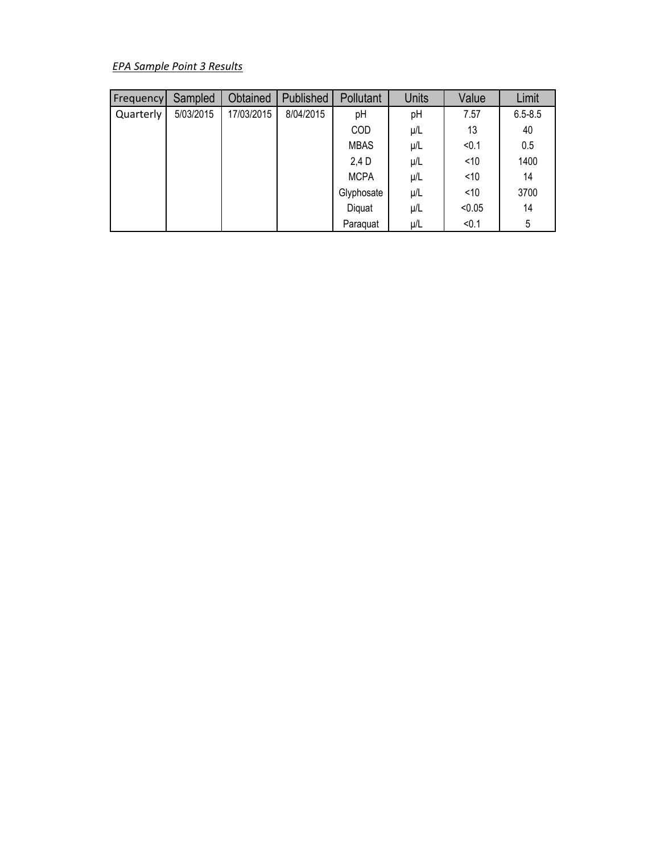# *EPA Sample Point 3 Results*

| <b>Frequency</b> | Sampled   | Obtained   | Published | Pollutant   | <b>Units</b> | Value  | Limit       |
|------------------|-----------|------------|-----------|-------------|--------------|--------|-------------|
| Quarterly        | 5/03/2015 | 17/03/2015 | 8/04/2015 | pH          | pH           | 7.57   | $6.5 - 8.5$ |
|                  |           |            |           | COD         | $\mu/L$      | 13     | 40          |
|                  |           |            |           | <b>MBAS</b> | $\mu/L$      | < 0.1  | 0.5         |
|                  |           |            |           | 2,4 D       | μ/L          | $<$ 10 | 1400        |
|                  |           |            |           | <b>MCPA</b> | μ/L          | ~10    | 14          |
|                  |           |            |           | Glyphosate  | μ/L          | ~10    | 3700        |
|                  |           |            |           | Diquat      | μ/L          | < 0.05 | 14          |
|                  |           |            |           | Paraquat    | μ/L          | < 0.1  | 5           |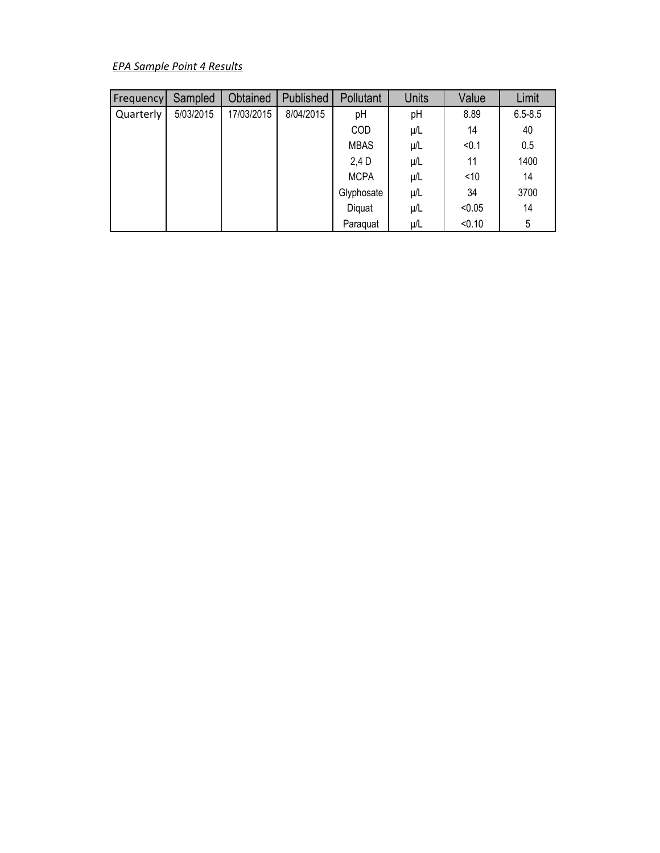# *EPA Sample Point 4 Results*

| <b>Frequency</b> | Sampled   | Obtained   | Published | <b>Pollutant</b> | <b>Units</b> | Value  | Limit       |
|------------------|-----------|------------|-----------|------------------|--------------|--------|-------------|
| Quarterly        | 5/03/2015 | 17/03/2015 | 8/04/2015 | pH               | pH           | 8.89   | $6.5 - 8.5$ |
|                  |           |            |           | COD              | $\mu/L$      | 14     | 40          |
|                  |           |            |           | <b>MBAS</b>      | $\mu/L$      | < 0.1  | 0.5         |
|                  |           |            |           | 2,4 D            | μ/L          | 11     | 1400        |
|                  |           |            |           | <b>MCPA</b>      | $\mu/L$      | ~10    | 14          |
|                  |           |            |           | Glyphosate       | μ/L          | 34     | 3700        |
|                  |           |            |           | Diquat           | μ/L          | < 0.05 | 14          |
|                  |           |            |           | Paraguat         | μ/L          | < 0.10 | 5           |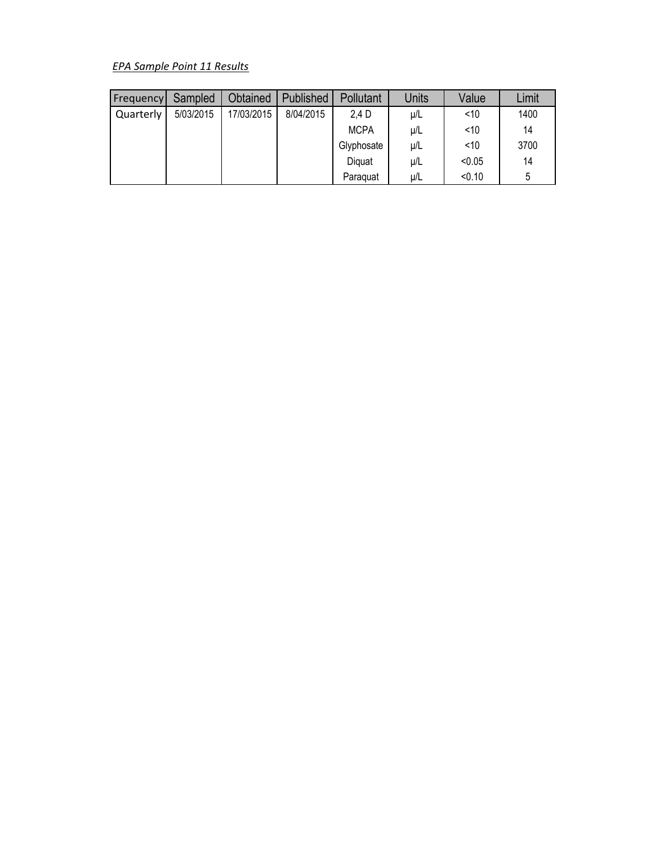# *EPA Sample Point 11 Results*

| Frequency | Sampled   | Obtained   | Published | Pollutant   | Units   | Value  | Limit |
|-----------|-----------|------------|-----------|-------------|---------|--------|-------|
| Quarterly | 5/03/2015 | 17/03/2015 | 8/04/2015 | 2.4 D       | $\mu/L$ | ~10    | 1400  |
|           |           |            |           | <b>MCPA</b> | $\mu/L$ | ~10    | 14    |
|           |           |            |           | Glyphosate  | $\mu/L$ | ~10    | 3700  |
|           |           |            |           | Diguat      | $\mu/L$ | < 0.05 | 14    |
|           |           |            |           | Paraguat    | μ/L     | < 0.10 | 5     |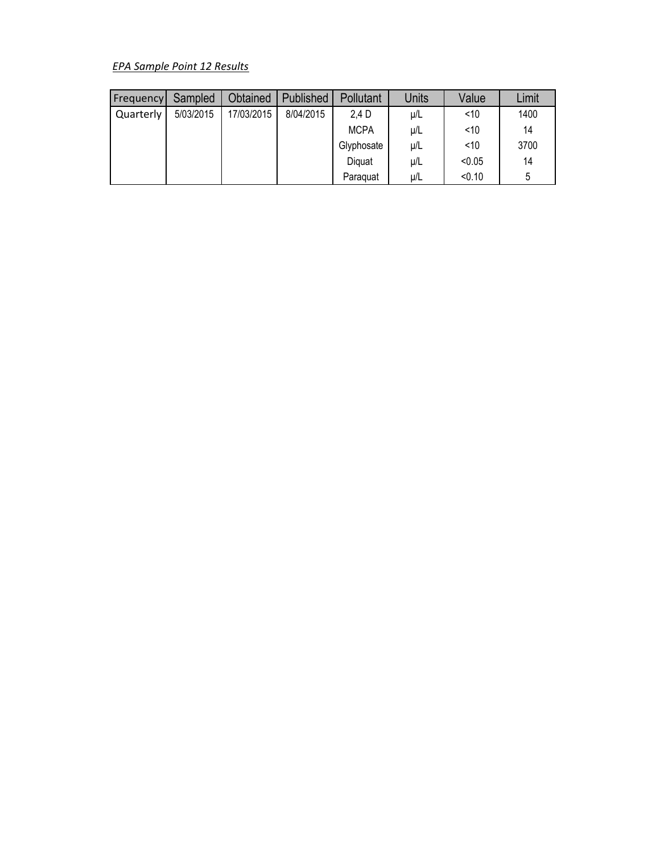# *EPA Sample Point 12 Results*

| Frequency | Sampled   | Obtained   | Published | Pollutant   | Units   | Value  | Limit |
|-----------|-----------|------------|-----------|-------------|---------|--------|-------|
| Quarterly | 5/03/2015 | 17/03/2015 | 8/04/2015 | 2.4 D       | $\mu/L$ | ~10    | 1400  |
|           |           |            |           | <b>MCPA</b> | $\mu/L$ | ~10    | 14    |
|           |           |            |           | Glyphosate  | $\mu/L$ | ~10    | 3700  |
|           |           |            |           | Diguat      | $\mu/L$ | < 0.05 | 14    |
|           |           |            |           | Paraguat    | μ/L     | < 0.10 | 5     |